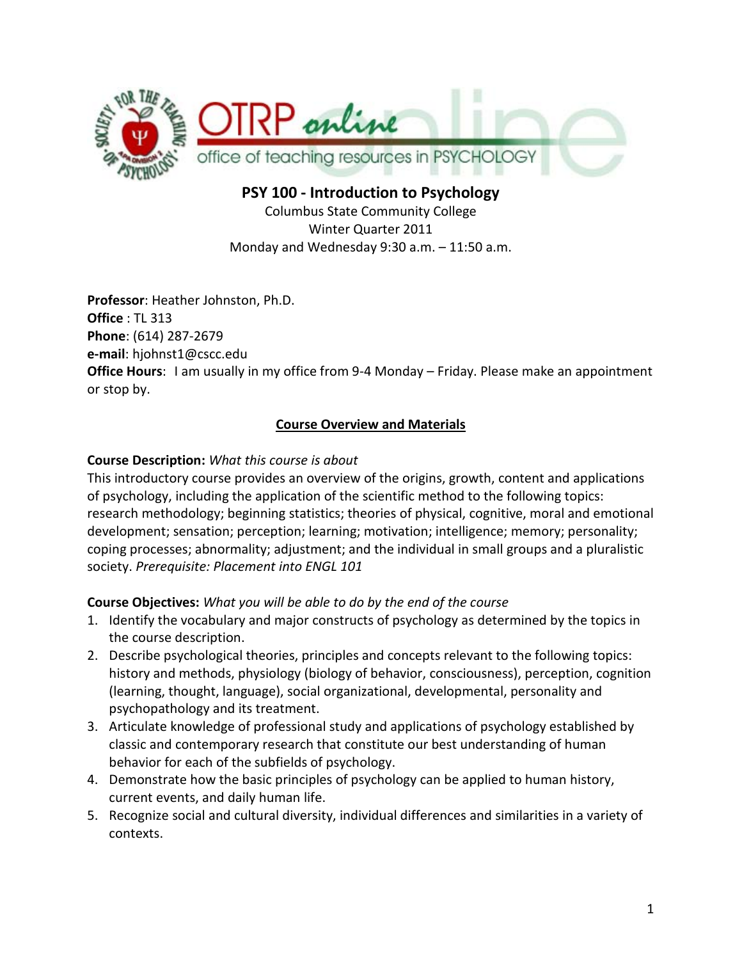

**PSY 100 - Introduction to Psychology** Columbus State Community College Winter Quarter 2011 Monday and Wednesday 9:30 a.m. – 11:50 a.m.

**Professor**: Heather Johnston, Ph.D. **Office** : TL 313 **Phone**: (614) 287-2679 **e-mail**: hjohnst1@cscc.edu **Office Hours**: I am usually in my office from 9-4 Monday – Friday. Please make an appointment or stop by.

## **Course Overview and Materials**

## **Course Description:** *What this course is about*

This introductory course provides an overview of the origins, growth, content and applications of psychology, including the application of the scientific method to the following topics: research methodology; beginning statistics; theories of physical, cognitive, moral and emotional development; sensation; perception; learning; motivation; intelligence; memory; personality; coping processes; abnormality; adjustment; and the individual in small groups and a pluralistic society. *Prerequisite: Placement into ENGL 101*

## **Course Objectives:** *What you will be able to do by the end of the course*

- 1. Identify the vocabulary and major constructs of psychology as determined by the topics in the course description.
- 2. Describe psychological theories, principles and concepts relevant to the following topics: history and methods, physiology (biology of behavior, consciousness), perception, cognition (learning, thought, language), social organizational, developmental, personality and psychopathology and its treatment.
- 3. Articulate knowledge of professional study and applications of psychology established by classic and contemporary research that constitute our best understanding of human behavior for each of the subfields of psychology.
- 4. Demonstrate how the basic principles of psychology can be applied to human history, current events, and daily human life.
- 5. Recognize social and cultural diversity, individual differences and similarities in a variety of contexts.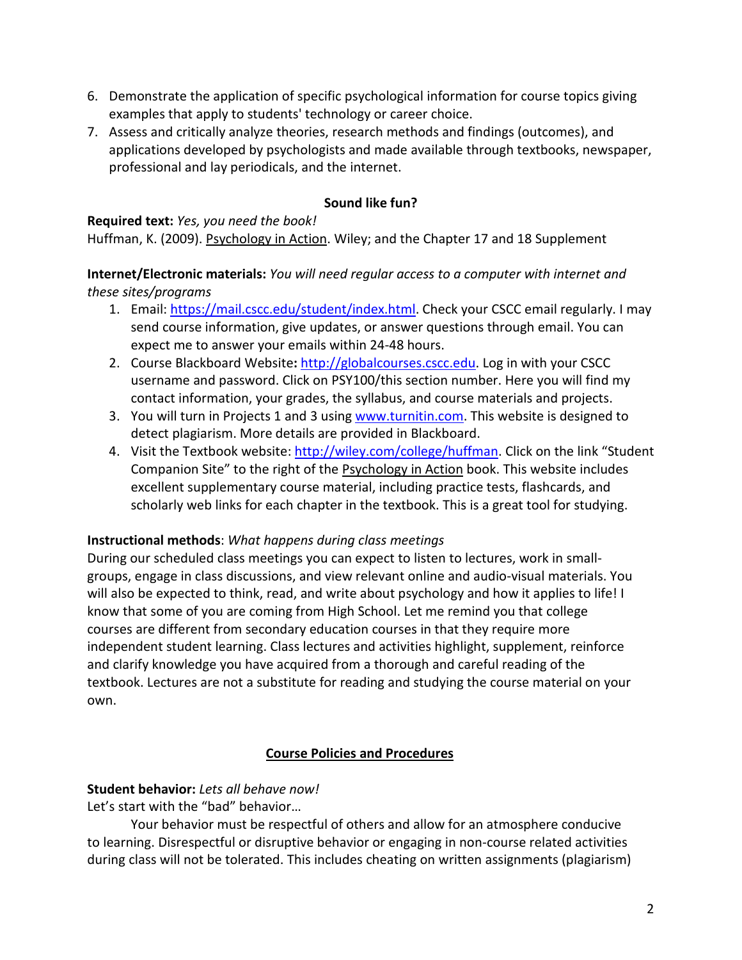- 6. Demonstrate the application of specific psychological information for course topics giving examples that apply to students' technology or career choice.
- 7. Assess and critically analyze theories, research methods and findings (outcomes), and applications developed by psychologists and made available through textbooks, newspaper, professional and lay periodicals, and the internet.

## **Sound like fun?**

**Required text:** *Yes, you need the book!* Huffman, K. (2009). Psychology in Action. Wiley; and the Chapter 17 and 18 Supplement

## **Internet/Electronic materials:** *You will need regular access to a computer with internet and these sites/programs*

- 1. Email: [https://mail.cscc.edu/student/index.html.](https://mail.cscc.edu/student/index.html) Check your CSCC email regularly. I may send course information, give updates, or answer questions through email. You can expect me to answer your emails within 24-48 hours.
- 2. Course Blackboard Website**:** [http://globalcourses.cscc.edu.](http://globalcourses.cscc.edu/) Log in with your CSCC username and password. Click on PSY100/this section number. Here you will find my contact information, your grades, the syllabus, and course materials and projects.
- 3. You will turn in Projects 1 and 3 using [www.turnitin.com.](http://www.turnitin.com/) This website is designed to detect plagiarism. More details are provided in Blackboard.
- 4. Visit the Textbook website: [http://wiley.com/college/huffman.](http://wiley.com/college/huffman) Click on the link "Student" Companion Site" to the right of the Psychology in Action book. This website includes excellent supplementary course material, including practice tests, flashcards, and scholarly web links for each chapter in the textbook. This is a great tool for studying.

## **Instructional methods**: *What happens during class meetings*

During our scheduled class meetings you can expect to listen to lectures, work in smallgroups, engage in class discussions, and view relevant online and audio-visual materials. You will also be expected to think, read, and write about psychology and how it applies to life! I know that some of you are coming from High School. Let me remind you that college courses are different from secondary education courses in that they require more independent student learning. Class lectures and activities highlight, supplement, reinforce and clarify knowledge you have acquired from a thorough and careful reading of the textbook. Lectures are not a substitute for reading and studying the course material on your own.

# **Course Policies and Procedures**

# **Student behavior:** *Lets all behave now!*

Let's start with the "bad" behavior…

Your behavior must be respectful of others and allow for an atmosphere conducive to learning. Disrespectful or disruptive behavior or engaging in non-course related activities during class will not be tolerated. This includes cheating on written assignments (plagiarism)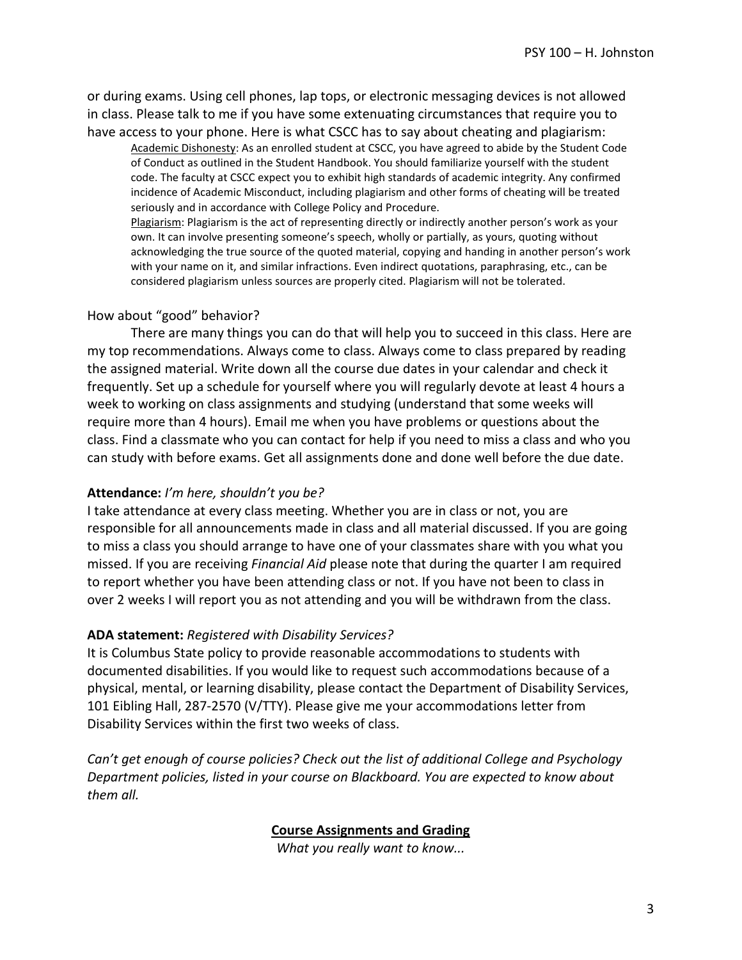or during exams. Using cell phones, lap tops, or electronic messaging devices is not allowed in class. Please talk to me if you have some extenuating circumstances that require you to have access to your phone. Here is what CSCC has to say about cheating and plagiarism:

Academic Dishonesty: As an enrolled student at CSCC, you have agreed to abide by the Student Code of Conduct as outlined in the Student Handbook. You should familiarize yourself with the student code. The faculty at CSCC expect you to exhibit high standards of academic integrity. Any confirmed incidence of Academic Misconduct, including plagiarism and other forms of cheating will be treated seriously and in accordance with College Policy and Procedure.

Plagiarism: Plagiarism is the act of representing directly or indirectly another person's work as your own. It can involve presenting someone's speech, wholly or partially, as yours, quoting without acknowledging the true source of the quoted material, copying and handing in another person's work with your name on it, and similar infractions. Even indirect quotations, paraphrasing, etc., can be considered plagiarism unless sources are properly cited. Plagiarism will not be tolerated.

### How about "good" behavior?

There are many things you can do that will help you to succeed in this class. Here are my top recommendations. Always come to class. Always come to class prepared by reading the assigned material. Write down all the course due dates in your calendar and check it frequently. Set up a schedule for yourself where you will regularly devote at least 4 hours a week to working on class assignments and studying (understand that some weeks will require more than 4 hours). Email me when you have problems or questions about the class. Find a classmate who you can contact for help if you need to miss a class and who you can study with before exams. Get all assignments done and done well before the due date.

### **Attendance:** *I'm here, shouldn't you be?*

I take attendance at every class meeting. Whether you are in class or not, you are responsible for all announcements made in class and all material discussed. If you are going to miss a class you should arrange to have one of your classmates share with you what you missed. If you are receiving *Financial Aid* please note that during the quarter I am required to report whether you have been attending class or not. If you have not been to class in over 2 weeks I will report you as not attending and you will be withdrawn from the class.

#### **ADA statement:** *Registered with Disability Services?*

It is Columbus State policy to provide reasonable accommodations to students with documented disabilities. If you would like to request such accommodations because of a physical, mental, or learning disability, please contact the Department of Disability Services, 101 Eibling Hall, 287-2570 (V/TTY). Please give me your accommodations letter from Disability Services within the first two weeks of class.

*Can't get enough of course policies? Check out the list of additional College and Psychology Department policies, listed in your course on Blackboard. You are expected to know about them all.* 

### **Course Assignments and Grading**

*What you really want to know...*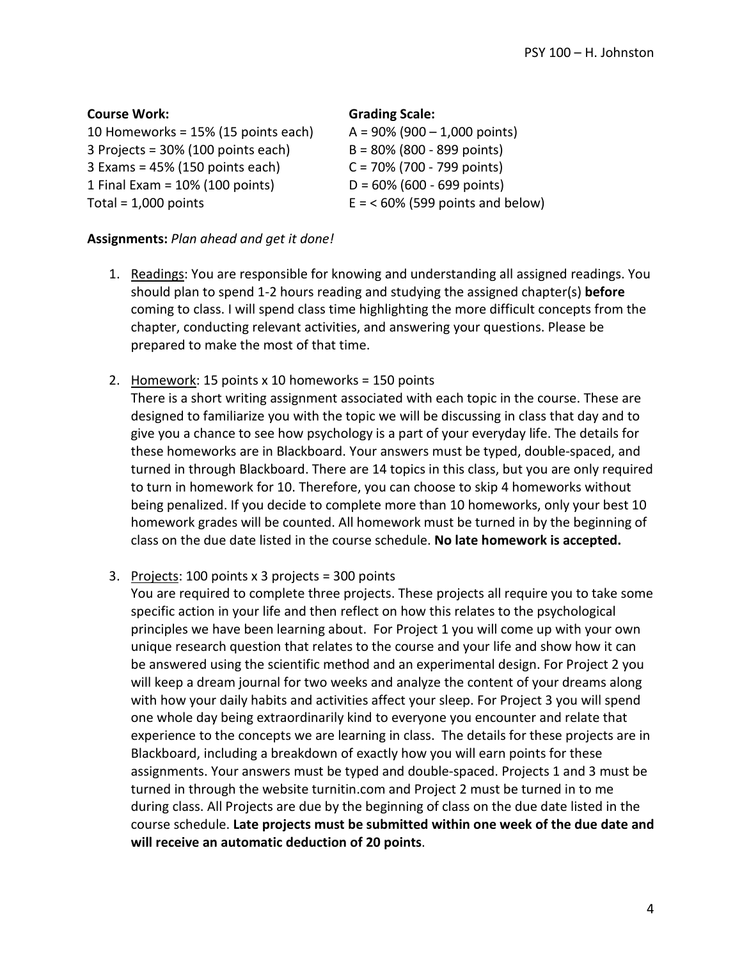| <b>Course Work:</b>                 | <b>Grading Scale:</b>             |
|-------------------------------------|-----------------------------------|
| 10 Homeworks = 15% (15 points each) | $A = 90\% (900 - 1,000$ points)   |
| 3 Projects = 30% (100 points each)  | $B = 80\%$ (800 - 899 points)     |
| $3$ Exams = 45% (150 points each)   | $C = 70\%$ (700 - 799 points)     |
| 1 Final Exam = $10\%$ (100 points)  | $D = 60\%$ (600 - 699 points)     |
| Total = $1,000$ points              | $E = 60\%$ (599 points and below) |

#### **Assignments:** *Plan ahead and get it done!*

- 1. Readings: You are responsible for knowing and understanding all assigned readings. You should plan to spend 1-2 hours reading and studying the assigned chapter(s) **before** coming to class. I will spend class time highlighting the more difficult concepts from the chapter, conducting relevant activities, and answering your questions. Please be prepared to make the most of that time.
- 2. Homework: 15 points x 10 homeworks = 150 points There is a short writing assignment associated with each topic in the course. These are designed to familiarize you with the topic we will be discussing in class that day and to give you a chance to see how psychology is a part of your everyday life. The details for these homeworks are in Blackboard. Your answers must be typed, double-spaced, and turned in through Blackboard. There are 14 topics in this class, but you are only required to turn in homework for 10. Therefore, you can choose to skip 4 homeworks without being penalized. If you decide to complete more than 10 homeworks, only your best 10 homework grades will be counted. All homework must be turned in by the beginning of class on the due date listed in the course schedule. **No late homework is accepted.**
- 3. Projects: 100 points x 3 projects = 300 points

You are required to complete three projects. These projects all require you to take some specific action in your life and then reflect on how this relates to the psychological principles we have been learning about. For Project 1 you will come up with your own unique research question that relates to the course and your life and show how it can be answered using the scientific method and an experimental design. For Project 2 you will keep a dream journal for two weeks and analyze the content of your dreams along with how your daily habits and activities affect your sleep. For Project 3 you will spend one whole day being extraordinarily kind to everyone you encounter and relate that experience to the concepts we are learning in class. The details for these projects are in Blackboard, including a breakdown of exactly how you will earn points for these assignments. Your answers must be typed and double-spaced. Projects 1 and 3 must be turned in through the website turnitin.com and Project 2 must be turned in to me during class. All Projects are due by the beginning of class on the due date listed in the course schedule. **Late projects must be submitted within one week of the due date and will receive an automatic deduction of 20 points**.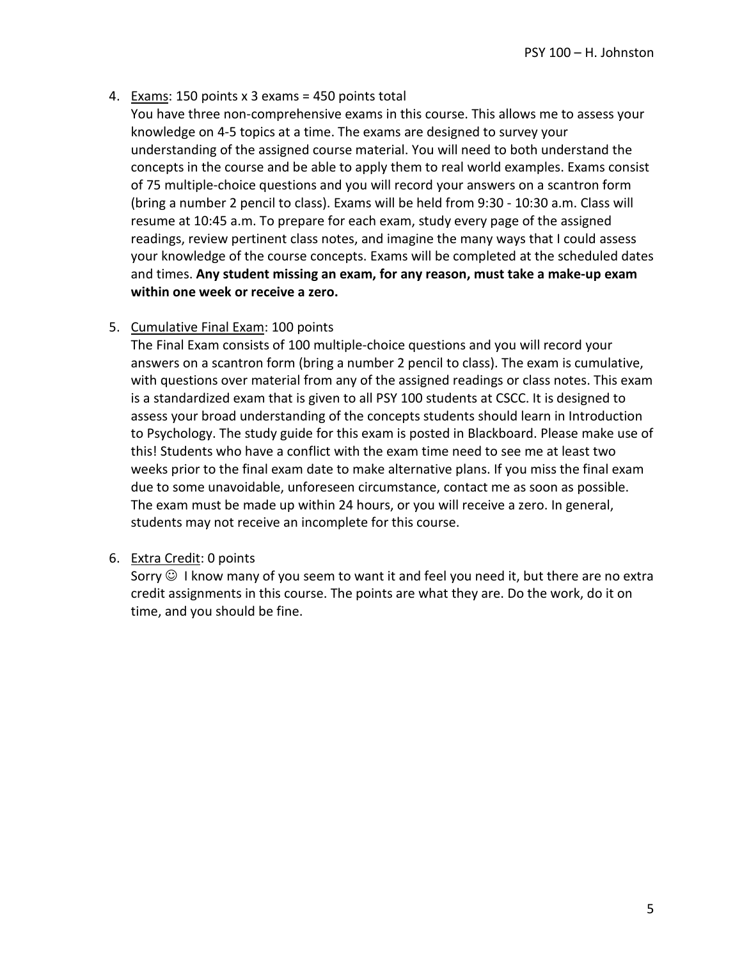4. Exams: 150 points x 3 exams = 450 points total

You have three non-comprehensive exams in this course. This allows me to assess your knowledge on 4-5 topics at a time. The exams are designed to survey your understanding of the assigned course material. You will need to both understand the concepts in the course and be able to apply them to real world examples. Exams consist of 75 multiple-choice questions and you will record your answers on a scantron form (bring a number 2 pencil to class). Exams will be held from 9:30 - 10:30 a.m. Class will resume at 10:45 a.m. To prepare for each exam, study every page of the assigned readings, review pertinent class notes, and imagine the many ways that I could assess your knowledge of the course concepts. Exams will be completed at the scheduled dates and times. **Any student missing an exam, for any reason, must take a make-up exam within one week or receive a zero.**

## 5. Cumulative Final Exam: 100 points

The Final Exam consists of 100 multiple-choice questions and you will record your answers on a scantron form (bring a number 2 pencil to class). The exam is cumulative, with questions over material from any of the assigned readings or class notes. This exam is a standardized exam that is given to all PSY 100 students at CSCC. It is designed to assess your broad understanding of the concepts students should learn in Introduction to Psychology. The study guide for this exam is posted in Blackboard. Please make use of this! Students who have a conflict with the exam time need to see me at least two weeks prior to the final exam date to make alternative plans. If you miss the final exam due to some unavoidable, unforeseen circumstance, contact me as soon as possible. The exam must be made up within 24 hours, or you will receive a zero. In general, students may not receive an incomplete for this course.

### 6. Extra Credit: 0 points

Sorry  $\odot$  I know many of you seem to want it and feel you need it, but there are no extra credit assignments in this course. The points are what they are. Do the work, do it on time, and you should be fine.